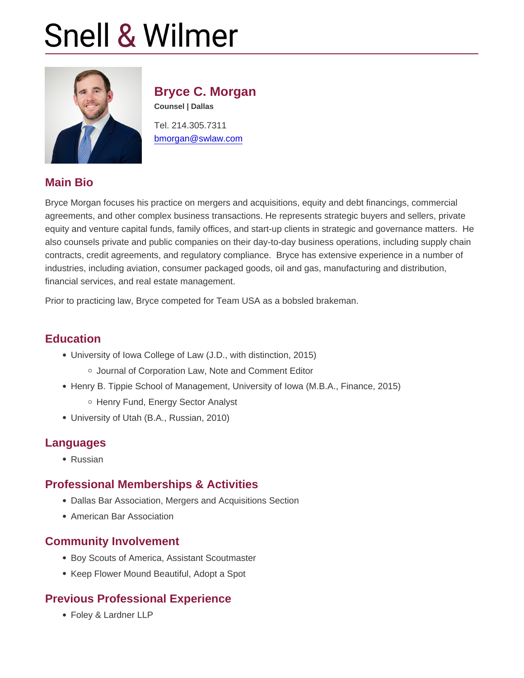# Bryce C. Morgan

Counsel | Dallas

Tel. 214.305.7311 [bmorgan@swlaw.com](mailto:bmorgan@swlaw.com)

## Main Bio

Bryce Morgan focuses his practice on mergers and acquisitions, equity and debt financings, commercial agreements, and other complex business transactions. He represents strategic buyers and sellers, private equity and venture capital funds, family offices, and start-up clients in strategic and governance matters. He also counsels private and public companies on their day-to-day business operations, including supply chain contracts, credit agreements, and regulatory compliance. Bryce has extensive experience in a number of industries, including aviation, consumer packaged goods, oil and gas, manufacturing and distribution, financial services, and real estate management.

Prior to practicing law, Bryce competed for Team USA as a bobsled brakeman.

### **Education**

- University of Iowa College of Law (J.D., with distinction, 2015) o Journal of Corporation Law, Note and Comment Editor
- Henry B. Tippie School of Management, University of Iowa (M.B.A., Finance, 2015) o Henry Fund, Energy Sector Analyst
- University of Utah (B.A., Russian, 2010)

## Languages

Russian

## Professional Memberships & Activities

- Dallas Bar Association, Mergers and Acquisitions Section
- American Bar Association

#### Community Involvement

- Boy Scouts of America, Assistant Scoutmaster
- Keep Flower Mound Beautiful, Adopt a Spot

## Previous Professional Experience

Foley & Lardner LLP